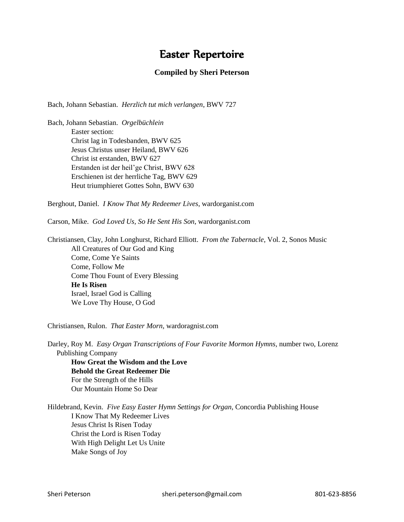## Easter Repertoire

## **Compiled by Sheri Peterson**

Bach, Johann Sebastian. *Herzlich tut mich verlangen*, BWV 727

Bach, Johann Sebastian. *Orgelbüchlein* Easter section: Christ lag in Todesbanden, BWV 625 Jesus Christus unser Heiland, BWV 626 Christ ist erstanden, BWV 627 Erstanden ist der heil'ge Christ, BWV 628 Erschienen ist der herrliche Tag, BWV 629 Heut triumphieret Gottes Sohn, BWV 630

Berghout, Daniel. *I Know That My Redeemer Lives*, wardorganist.com

Carson, Mike. *God Loved Us, So He Sent His Son*, wardorganist.com

Christiansen, Clay, John Longhurst, Richard Elliott. *From the Tabernacle*, Vol. 2, Sonos Music All Creatures of Our God and King Come, Come Ye Saints Come, Follow Me Come Thou Fount of Every Blessing **He Is Risen** Israel, Israel God is Calling We Love Thy House, O God

Christiansen, Rulon. *That Easter Morn*, wardoragnist.com

Darley, Roy M. *Easy Organ Transcriptions of Four Favorite Mormon Hymns,* number two, Lorenz Publishing Company

**How Great the Wisdom and the Love Behold the Great Redeemer Die** For the Strength of the Hills Our Mountain Home So Dear

Hildebrand, Kevin. *Five Easy Easter Hymn Settings for Organ*, Concordia Publishing House I Know That My Redeemer Lives Jesus Christ Is Risen Today Christ the Lord is Risen Today With High Delight Let Us Unite Make Songs of Joy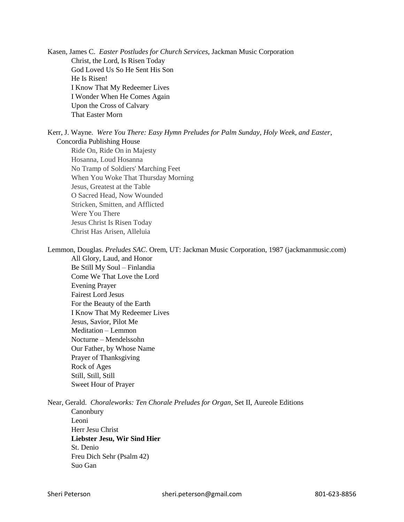Kasen, James C. *Easter Postludes for Church Services*, Jackman Music Corporation Christ, the Lord, Is Risen Today God Loved Us So He Sent His Son He Is Risen! I Know That My Redeemer Lives I Wonder When He Comes Again Upon the Cross of Calvary That Easter Morn

Kerr, J. Wayne. *Were You There: Easy Hymn Preludes for Palm Sunday, Holy Week, and Easter*, Concordia Publishing House

Ride On, Ride On in Majesty Hosanna, Loud Hosanna No Tramp of Soldiers' Marching Feet When You Woke That Thursday Morning Jesus, Greatest at the Table O Sacred Head, Now Wounded Stricken, Smitten, and Afflicted Were You There Jesus Christ Is Risen Today Christ Has Arisen, Alleluia

Lemmon, Douglas. *Preludes SAC*. Orem, UT: Jackman Music Corporation, 1987 (jackmanmusic.com)

All Glory, Laud, and Honor Be Still My Soul – Finlandia Come We That Love the Lord Evening Prayer Fairest Lord Jesus For the Beauty of the Earth I Know That My Redeemer Lives Jesus, Savior, Pilot Me Meditation – Lemmon Nocturne – Mendelssohn Our Father, by Whose Name Prayer of Thanksgiving Rock of Ages Still, Still, Still Sweet Hour of Prayer

Near, Gerald. *Choraleworks: Ten Chorale Preludes for Organ*, Set II, Aureole Editions

**Canonbury** Leoni Herr Jesu Christ **Liebster Jesu, Wir Sind Hier** St. Denio Freu Dich Sehr (Psalm 42) Suo Gan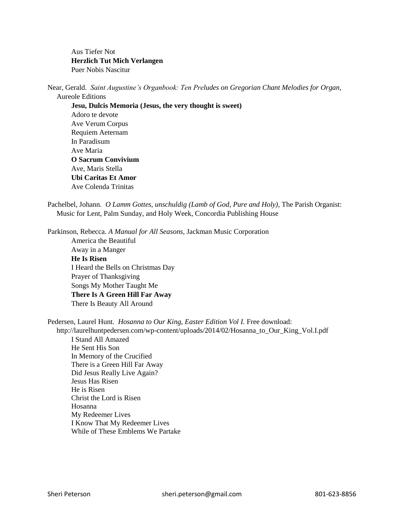Aus Tiefer Not **Herzlich Tut Mich Verlangen** Puer Nobis Nascitur

Near, Gerald. *Saint Augustine's Organbook: Ten Preludes on Gregorian Chant Melodies for Organ*, Aureole Editions

**Jesu, Dulcis Memoria (Jesus, the very thought is sweet)** Adoro te devote Ave Verum Corpus Requiem Aeternam In Paradisum Ave Maria **O Sacrum Convivium** Ave, Maris Stella **Ubi Caritas Et Amor** Ave Colenda Trinitas

Pachelbel, Johann. *O Lamm Gottes, unschuldig (Lamb of God, Pure and Holy)*, The Parish Organist: Music for Lent, Palm Sunday, and Holy Week, Concordia Publishing House

Parkinson, Rebecca. *A Manual for All Seasons,* Jackman Music Corporation

America the Beautiful Away in a Manger **He Is Risen** I Heard the Bells on Christmas Day Prayer of Thanksgiving Songs My Mother Taught Me **There Is A Green Hill Far Away** There Is Beauty All Around

Pedersen, Laurel Hunt. *Hosanna to Our King, Easter Edition Vol I*. Free download:

 http://laurelhuntpedersen.com/wp-content/uploads/2014/02/Hosanna\_to\_Our\_King\_Vol.I.pdf I Stand All Amazed He Sent His Son In Memory of the Crucified There is a Green Hill Far Away Did Jesus Really Live Again? Jesus Has Risen He is Risen Christ the Lord is Risen Hosanna My Redeemer Lives I Know That My Redeemer Lives While of These Emblems We Partake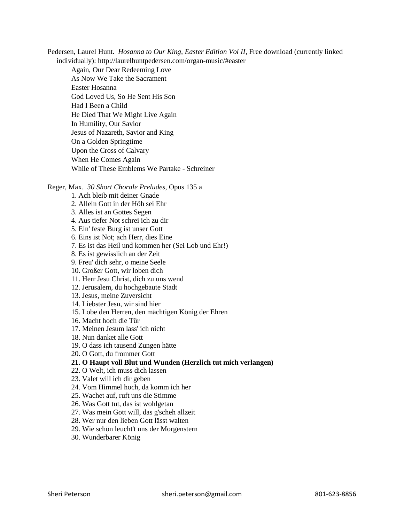Pedersen, Laurel Hunt. *Hosanna to Our King, Easter Edition Vol II,* Free download (currently linked individually): <http://laurelhuntpedersen.com/organ-music/#easter>

Again, Our Dear Redeeming Love As Now We Take the Sacrament Easter Hosanna God Loved Us, So He Sent His Son Had I Been a Child He Died That We Might Live Again In Humility, Our Savior Jesus of Nazareth, Savior and King On a Golden Springtime Upon the Cross of Calvary When He Comes Again While of These Emblems We Partake - Schreiner

Reger, Max. *30 Short Chorale Preludes,* Opus 135 a

1. Ach bleib mit deiner Gnade

- 2. Allein Gott in der Höh sei Ehr
- 3. Alles ist an Gottes Segen
- 4. Aus tiefer Not schrei ich zu dir

5. Ein' feste Burg ist unser Gott

6. Eins ist Not; ach Herr, dies Eine

7. Es ist das Heil und kommen her (Sei Lob und Ehr!)

8. Es ist gewisslich an der Zeit

9. Freu' dich sehr, o meine Seele

10. Großer Gott, wir loben dich

11. Herr Jesu Christ, dich zu uns wend

12. Jerusalem, du hochgebaute Stadt

13. Jesus, meine Zuversicht

14. Liebster Jesu, wir sind hier

15. Lobe den Herren, den mächtigen König der Ehren

16. Macht hoch die Tür

17. Meinen Jesum lass' ich nicht

18. Nun danket alle Gott

19. O dass ich tausend Zungen hätte

20. O Gott, du frommer Gott

## **21. O Haupt voll Blut und Wunden (Herzlich tut mich verlangen)**

22. O Welt, ich muss dich lassen

23. Valet will ich dir geben

24. Vom Himmel hoch, da komm ich her

25. Wachet auf, ruft uns die Stimme

26. Was Gott tut, das ist wohlgetan

27. Was mein Gott will, das g'scheh allzeit

28. Wer nur den lieben Gott lässt walten

29. Wie schön leucht't uns der Morgenstern

30. Wunderbarer König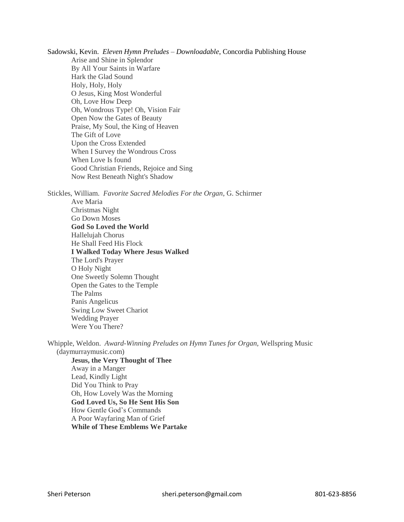Sadowski, Kevin. *Eleven Hymn Preludes – Downloadable*, Concordia Publishing House Arise and Shine in Splendor By All Your Saints in Warfare Hark the Glad Sound Holy, Holy, Holy O Jesus, King Most Wonderful Oh, Love How Deep Oh, Wondrous Type! Oh, Vision Fair Open Now the Gates of Beauty Praise, My Soul, the King of Heaven The Gift of Love Upon the Cross Extended When I Survey the Wondrous Cross When Love Is found Good Christian Friends, Rejoice and Sing Now Rest Beneath Night's Shadow

Stickles, William. *Favorite Sacred Melodies For the Organ*, G. Schirmer Ave Maria Christmas Night Go Down Moses **God So Loved the World** Hallelujah Chorus He Shall Feed His Flock **I Walked Today Where Jesus Walked** The Lord's Prayer O Holy Night One Sweetly Solemn Thought Open the Gates to the Temple The Palms Panis Angelicus Swing Low Sweet Chariot Wedding Prayer Were You There?

Whipple, Weldon. *Award-Winning Preludes on Hymn Tunes for Organ,* Wellspring Music (daymurraymusic.com)

**Jesus, the Very Thought of Thee** Away in a Manger Lead, Kindly Light Did You Think to Pray Oh, How Lovely Was the Morning **God Loved Us, So He Sent His Son** How Gentle God's Commands A Poor Wayfaring Man of Grief **While of These Emblems We Partake**